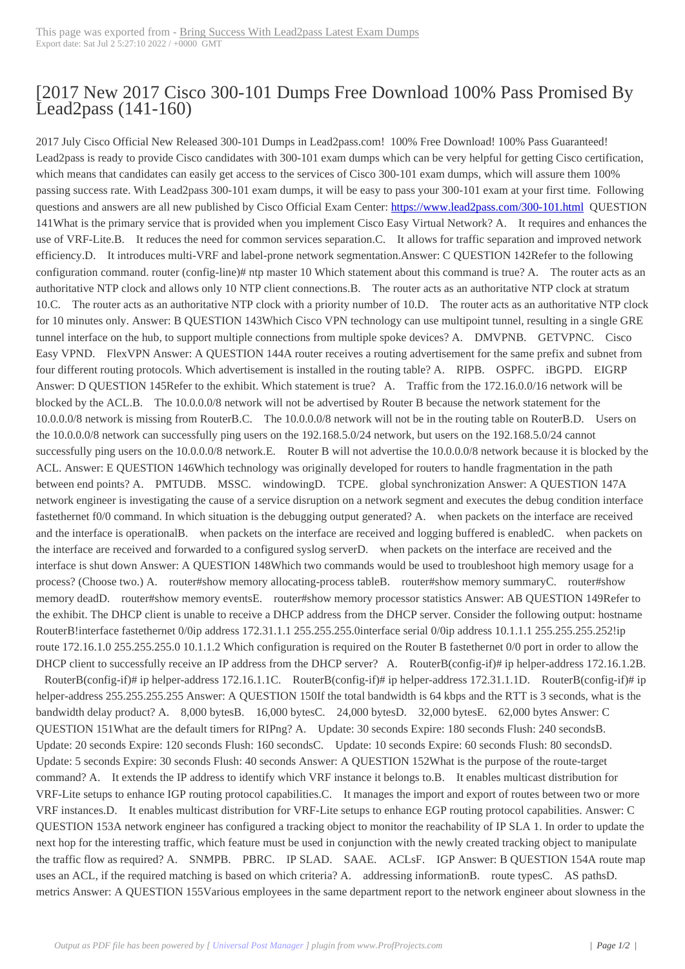## [2017 New 2017 C[isco 300-101 Dumps Free Downl](http://www.220-801.net/?p=5558)oad 100% Pass Promised By Lead2pass (141-160)

 2017 July Cisco Official New Released 300-101 Dumps in Lead2pass.com! 100% Free Download! 100% Pass Guaranteed! Lead2pass is ready to provide Cisco candidates with 300-101 exam dumps which can be very helpful for getting Cisco certification, which means that candidates can easily get access to the services of Cisco 300-101 exam dumps, which will assure them 100% passing success rate. With Lead2pass 300-101 exam dumps, it will be easy to pass your 300-101 exam at your first time. Following questions and answers are all new published by Cisco Official Exam Center: https://www.lead2pass.com/300-101.html QUESTION 141What is the primary service that is provided when you implement Cisco Easy Virtual Network? A. It requires and enhances the use of VRF-Lite.B. It reduces the need for common services separation.C. It allows for traffic separation and improved network efficiency.D. It introduces multi-VRF and label-prone network segmentation.Answer: C QUESTION 142Refer to the following configuration command. router (config-line)# ntp master 10 Which statemen[t about this command is true? A. The rou](https://www.lead2pass.com/300-101.html)ter acts as an authoritative NTP clock and allows only 10 NTP client connections.B. The router acts as an authoritative NTP clock at stratum 10.C. The router acts as an authoritative NTP clock with a priority number of 10.D. The router acts as an authoritative NTP clock for 10 minutes only. Answer: B QUESTION 143Which Cisco VPN technology can use multipoint tunnel, resulting in a single GRE tunnel interface on the hub, to support multiple connections from multiple spoke devices? A. DMVPNB. GETVPNC. Cisco Easy VPND. FlexVPN Answer: A QUESTION 144A router receives a routing advertisement for the same prefix and subnet from four different routing protocols. Which advertisement is installed in the routing table? A. RIPB. OSPFC. iBGPD. EIGRP Answer: D QUESTION 145Refer to the exhibit. Which statement is true? A. Traffic from the 172.16.0.0/16 network will be blocked by the ACL.B. The 10.0.0.0/8 network will not be advertised by Router B because the network statement for the 10.0.0.0/8 network is missing from RouterB.C. The 10.0.0.0/8 network will not be in the routing table on RouterB.D. Users on the 10.0.0.0/8 network can successfully ping users on the 192.168.5.0/24 network, but users on the 192.168.5.0/24 cannot successfully ping users on the 10.0.0.0/8 network.E. Router B will not advertise the 10.0.0.0/8 network because it is blocked by the ACL. Answer: E QUESTION 146Which technology was originally developed for routers to handle fragmentation in the path between end points? A. PMTUDB. MSSC. windowingD. TCPE. global synchronization Answer: A QUESTION 147A network engineer is investigating the cause of a service disruption on a network segment and executes the debug condition interface fastethernet f0/0 command. In which situation is the debugging output generated? A. when packets on the interface are received and the interface is operationalB. when packets on the interface are received and logging buffered is enabledC. when packets on the interface are received and forwarded to a configured syslog serverD. when packets on the interface are received and the interface is shut down Answer: A QUESTION 148Which two commands would be used to troubleshoot high memory usage for a process? (Choose two.) A. router#show memory allocating-process tableB. router#show memory summaryC. router#show memory deadD. router#show memory eventsE. router#show memory processor statistics Answer: AB QUESTION 149Refer to the exhibit. The DHCP client is unable to receive a DHCP address from the DHCP server. Consider the following output: hostname RouterB!interface fastethernet 0/0ip address 172.31.1.1 255.255.255.0interface serial 0/0ip address 10.1.1.1 255.255.255.252!ip route 172.16.1.0 255.255.255.0 10.1.1.2 Which configuration is required on the Router B fastethernet 0/0 port in order to allow the DHCP client to successfully receive an IP address from the DHCP server? A. RouterB(config-if)# ip helper-address 172.16.1.2B.

 RouterB(config-if)# ip helper-address 172.16.1.1C. RouterB(config-if)# ip helper-address 172.31.1.1D. RouterB(config-if)# ip helper-address 255.255.255.255 Answer: A QUESTION 150If the total bandwidth is 64 kbps and the RTT is 3 seconds, what is the bandwidth delay product? A. 8,000 bytesB. 16,000 bytesC. 24,000 bytesD. 32,000 bytesE. 62,000 bytes Answer: C QUESTION 151What are the default timers for RIPng? A. Update: 30 seconds Expire: 180 seconds Flush: 240 secondsB. Update: 20 seconds Expire: 120 seconds Flush: 160 secondsC. Update: 10 seconds Expire: 60 seconds Flush: 80 secondsD. Update: 5 seconds Expire: 30 seconds Flush: 40 seconds Answer: A QUESTION 152What is the purpose of the route-target command? A. It extends the IP address to identify which VRF instance it belongs to.B. It enables multicast distribution for VRF-Lite setups to enhance IGP routing protocol capabilities.C. It manages the import and export of routes between two or more VRF instances.D. It enables multicast distribution for VRF-Lite setups to enhance EGP routing protocol capabilities. Answer: C QUESTION 153A network engineer has configured a tracking object to monitor the reachability of IP SLA 1. In order to update the next hop for the interesting traffic, which feature must be used in conjunction with the newly created tracking object to manipulate the traffic flow as required? A. SNMPB. PBRC. IP SLAD. SAAE. ACLsF. IGP Answer: B QUESTION 154A route map uses an ACL, if the required matching is based on which criteria? A. addressing informationB. route typesC. AS pathsD. metrics Answer: A QUESTION 155Various employees in the same department report to the network engineer about slowness in the